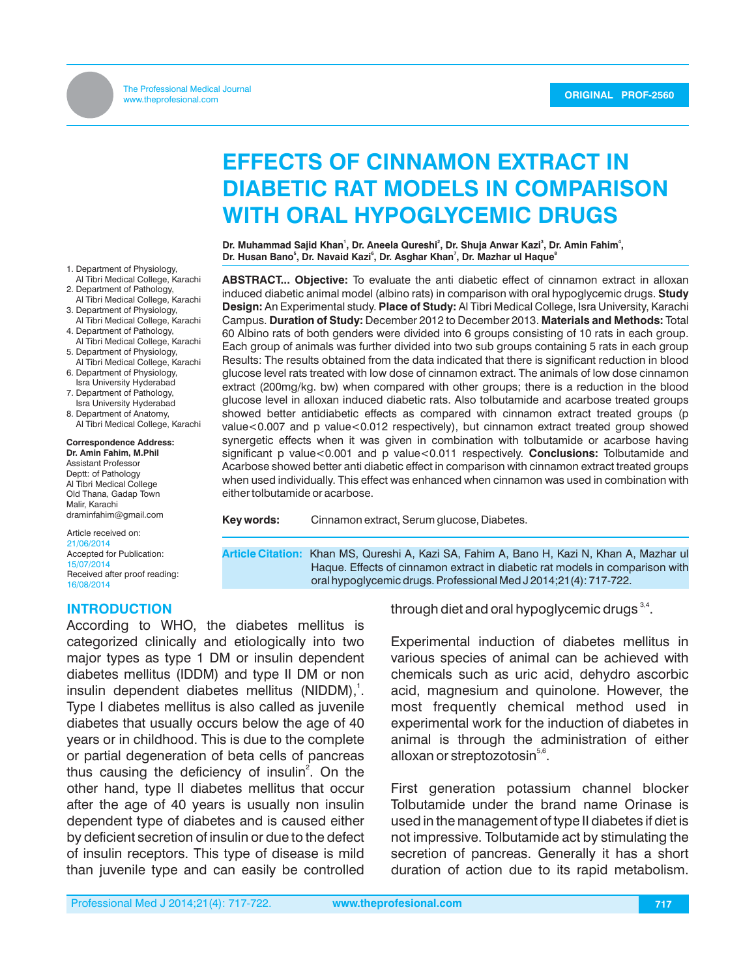# **EFFECTS OF CINNAMON EXTRACT IN DIABETIC RAT MODELS IN COMPARISON WITH ORAL HYPOGLYCEMIC DRUGS**

**<sup>1</sup> <sup>2</sup> <sup>3</sup> <sup>4</sup> Dr. Muhammad Sajid Khan , Dr. Aneela Qureshi , Dr. Shuja Anwar Kazi , Dr. Amin Fahim , <sup>5</sup> <sup>6</sup> <sup>7</sup> <sup>8</sup> Dr. Husan Bano , Dr. Navaid Kazi , Dr. Asghar Khan , Dr. Mazhar ul Haque**

**ABSTRACT... Objective:** To evaluate the anti diabetic effect of cinnamon extract in alloxan induced diabetic animal model (albino rats) in comparison with oral hypoglycemic drugs. **Study Design:** An Experimental study. **Place of Study:** Al Tibri Medical College, Isra University, Karachi Campus. **Duration of Study:** December 2012 to December 2013. **Materials and Methods:** Total 60 Albino rats of both genders were divided into 6 groups consisting of 10 rats in each group. Each group of animals was further divided into two sub groups containing 5 rats in each group Results: The results obtained from the data indicated that there is significant reduction in blood glucose level rats treated with low dose of cinnamon extract. The animals of low dose cinnamon extract (200mg/kg. bw) when compared with other groups; there is a reduction in the blood glucose level in alloxan induced diabetic rats. Also tolbutamide and acarbose treated groups showed better antidiabetic effects as compared with cinnamon extract treated groups (p value<0.007 and p value<0.012 respectively), but cinnamon extract treated group showed synergetic effects when it was given in combination with tolbutamide or acarbose having significant p value<0.001 and p value<0.011 respectively. **Conclusions:** Tolbutamide and Acarbose showed better anti diabetic effect in comparison with cinnamon extract treated groups when used individually. This effect was enhanced when cinnamon was used in combination with either tolbutamide or acarbose.

**Key words:** Cinnamon extract, Serum glucose, Diabetes.

**Article Citation:** Khan MS, Qureshi A, Kazi SA, Fahim A, Bano H, Kazi N, Khan A, Mazhar ul Haque. Effects of cinnamon extract in diabetic rat models in comparison with oral hypoglycemic drugs. Professional Med J 2014;21(4): 717-722.

1. Department of Physiology, Al Tibri Medical College, Karachi

- 2. Department of Pathology, Al Tibri Medical College, Karachi
- 3. Department of Physiology, Al Tibri Medical College, Karachi
- 4. Department of Pathology, Al Tibri Medical College, Karachi
- 5. Department of Physiology, Al Tibri Medical College, Karachi
- 6. Department of Physiology, Isra University Hyderabad
- 7. Department of Pathology, Isra University Hyderabad
- 8. Department of Anatomy, Al Tibri Medical College, Karachi

**Correspondence Address: Dr. Amin Fahim, M.Phil** Assistant Professor Deptt: of Pathology

Al Tibri Medical College Old Thana, Gadap Town Malir, Karachi draminfahim@gmail.com

Article received on: 21/06/2014 Accepted for Publication: 15/07/2014 Received after proof reading: 16/08/2014

#### **INTRODUCTION**

According to WHO, the diabetes mellitus is categorized clinically and etiologically into two major types as type 1 DM or insulin dependent diabetes mellitus (IDDM) and type II DM or non insulin dependent diabetes mellitus (NIDDM),<sup>1</sup>. Type I diabetes mellitus is also called as juvenile diabetes that usually occurs below the age of 40 years or in childhood. This is due to the complete or partial degeneration of beta cells of pancreas thus causing the deficiency of insulin<sup>2</sup>. On the other hand, type II diabetes mellitus that occur after the age of 40 years is usually non insulin dependent type of diabetes and is caused either by deficient secretion of insulin or due to the defect of insulin receptors. This type of disease is mild than juvenile type and can easily be controlled

through diet and oral hypoglycemic drugs  $3,4$ .

Experimental induction of diabetes mellitus in various species of animal can be achieved with chemicals such as uric acid, dehydro ascorbic acid, magnesium and quinolone. However, the most frequently chemical method used in experimental work for the induction of diabetes in animal is through the administration of either alloxan or streptozotosin $5.6$ .

First generation potassium channel blocker Tolbutamide under the brand name Orinase is used in the management of type II diabetes if diet is not impressive. Tolbutamide act by stimulating the secretion of pancreas. Generally it has a short duration of action due to its rapid metabolism.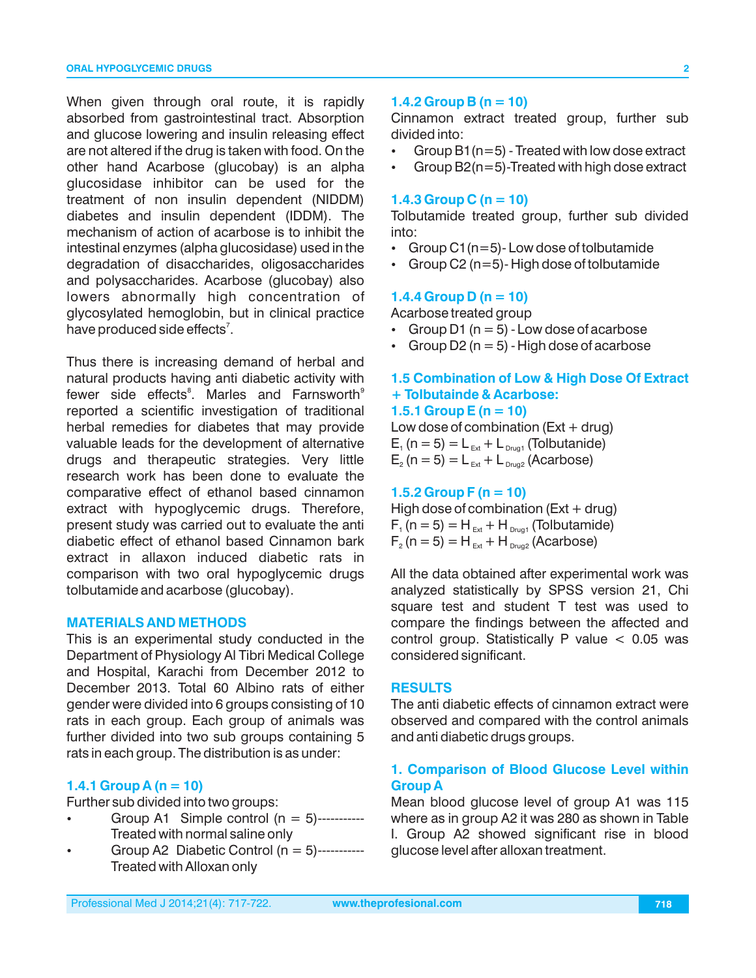When given through oral route, it is rapidly absorbed from gastrointestinal tract. Absorption and glucose lowering and insulin releasing effect are not altered if the drug is taken with food. On the other hand Acarbose (glucobay) is an alpha glucosidase inhibitor can be used for the treatment of non insulin dependent (NIDDM) diabetes and insulin dependent (IDDM). The mechanism of action of acarbose is to inhibit the intestinal enzymes (alpha glucosidase) used in the degradation of disaccharides, oligosaccharides and polysaccharides. Acarbose (glucobay) also lowers abnormally high concentration of glycosylated hemoglobin, but in clinical practice have produced side effects<sup>7</sup>.

Thus there is increasing demand of herbal and natural products having anti diabetic activity with fewer side effects<sup>8</sup>. Marles and Farnsworth<sup>9</sup> reported a scientific investigation of traditional herbal remedies for diabetes that may provide valuable leads for the development of alternative drugs and therapeutic strategies. Very little research work has been done to evaluate the comparative effect of ethanol based cinnamon extract with hypoglycemic drugs. Therefore, present study was carried out to evaluate the anti diabetic effect of ethanol based Cinnamon bark extract in allaxon induced diabetic rats in comparison with two oral hypoglycemic drugs tolbutamide and acarbose (glucobay).

#### **MATERIALS AND METHODS**

This is an experimental study conducted in the Department of Physiology Al Tibri Medical College and Hospital, Karachi from December 2012 to December 2013. Total 60 Albino rats of either gender were divided into 6 groups consisting of 10 rats in each group. Each group of animals was further divided into two sub groups containing 5 rats in each group. The distribution is as under:

#### **1.4.1 Group A (n = 10)**

Further sub divided into two groups:

- Group A1 Simple control  $(n = 5)$ -----------Treated with normal saline only
- Group A2 Diabetic Control  $(n = 5)$ -----------Treated with Alloxan only

# **1.4.2 Group B (n = 10)**

Cinnamon extract treated group, further sub divided into:

- Group  $B1(n=5)$  Treated with low dose extract
- Group B2(n=5)-Treated with high dose extract

#### **1.4.3 Group C (n = 10)**

Tolbutamide treated group, further sub divided into:

- Group C1 ( $n=5$ )-Low dose of tolbutamide
- Group C2 (n=5)- High dose of tolbutamide

#### **1.4.4 Group D (n = 10)**

Acarbose treated group

- Group D1 ( $n = 5$ ) Low dose of acarbose
- Group D2 ( $n = 5$ ) High dose of acarbose

## **1.5 Combination of Low & High Dose Of Extract + Tolbutainde & Acarbose: 1.5.1 Group E (n = 10)**

Low dose of combination  $(Ext + drug)$  $E_1$  (n = 5) = L<sub>Ext</sub> + L<sub>Drug1</sub> (Tolbutanide)  $E_2$  (n = 5) = L<sub>Ext</sub> + L<sub>Drug2</sub> (Acarbose)

#### **1.5.2 Group F (n = 10)**

High dose of combination ( $Ext + drug$ )  $F_1(n = 5) = H_{ext} + H_{p_{\text{rug1}}}$  (Tolbutamide)  $F_2$  (n = 5) = H<sub>Ext</sub> + H<sub>Drug2</sub> (Acarbose)

All the data obtained after experimental work was analyzed statistically by SPSS version 21, Chi square test and student T test was used to compare the findings between the affected and control group. Statistically P value  $< 0.05$  was considered significant.

# **RESULTS**

The anti diabetic effects of cinnamon extract were observed and compared with the control animals and anti diabetic drugs groups.

# **1. Comparison of Blood Glucose Level within Group A**

Mean blood glucose level of group A1 was 115 where as in group A2 it was 280 as shown in Table I. Group A2 showed significant rise in blood glucose level after alloxan treatment.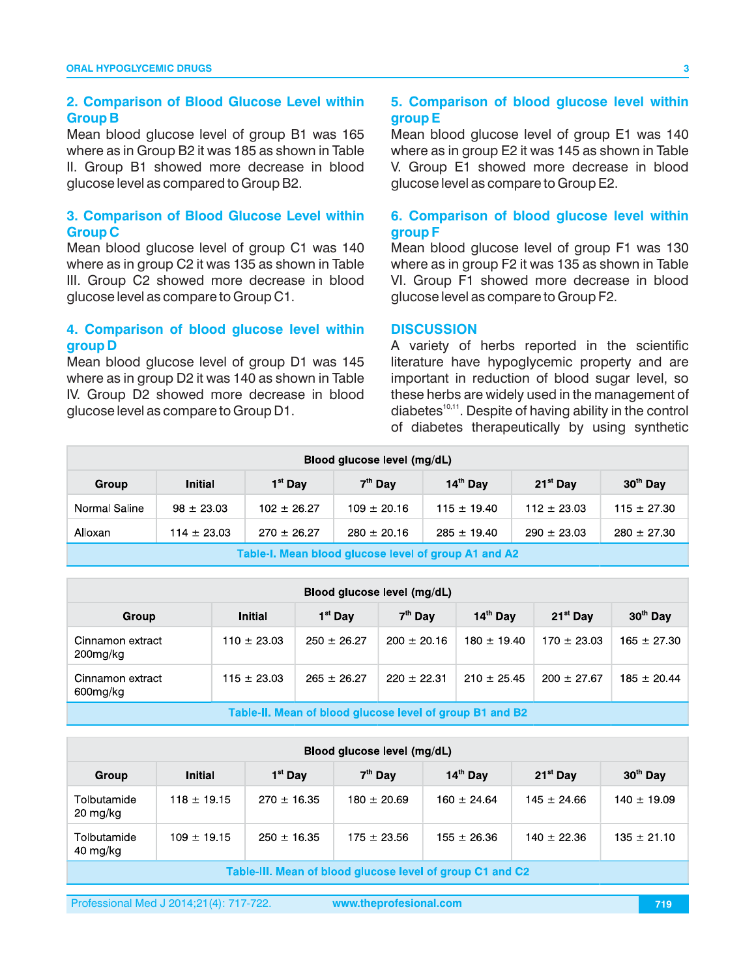# **2. Comparison of Blood Glucose Level within Group B**

Mean blood glucose level of group B1 was 165 where as in Group B2 it was 185 as shown in Table II. Group B1 showed more decrease in blood glucose level as compared to Group B2.

## **3. Comparison of Blood Glucose Level within Group C**

Mean blood glucose level of group C1 was 140 where as in group C2 it was 135 as shown in Table III. Group C2 showed more decrease in blood glucose level as compare to Group C1.

# **4. Comparison of blood glucose level within group D**

Mean blood glucose level of group D1 was 145 where as in group D2 it was 140 as shown in Table IV. Group D2 showed more decrease in blood glucose level as compare to Group D1.

### **5. Comparison of blood glucose level within group E**

Mean blood glucose level of group E1 was 140 where as in group E2 it was 145 as shown in Table V. Group E1 showed more decrease in blood glucose level as compare to Group E2.

# **6. Comparison of blood glucose level within group F**

Mean blood glucose level of group F1 was 130 where as in group F2 it was 135 as shown in Table VI. Group F1 showed more decrease in blood glucose level as compare to Group F2.

#### **DISCUSSION**

A variety of herbs reported in the scientific literature have hypoglycemic property and are important in reduction of blood sugar level, so these herbs are widely used in the management of diabetes $^{10,11}$ . Despite of having ability in the control of diabetes therapeutically by using synthetic

| Blood glucose level (mg/dL)                                                                                               |                |                 |                 |                 |                 |                 |  |  |  |
|---------------------------------------------------------------------------------------------------------------------------|----------------|-----------------|-----------------|-----------------|-----------------|-----------------|--|--|--|
| $14th$ Day<br>30 <sup>th</sup> Day<br>$21^{st}$ Day<br>$1st$ Day<br>7 <sup>th</sup> Day<br><b>Initial</b><br>Group        |                |                 |                 |                 |                 |                 |  |  |  |
| Normal Saline                                                                                                             | $98 \pm 23.03$ | $102 \pm 26.27$ | $109 \pm 20.16$ | $115 \pm 19.40$ | $112 \pm 23.03$ | $115 \pm 27.30$ |  |  |  |
| $270 \pm 26.27$<br>$285 \pm 19.40$<br>$114 \pm 23.03$<br>$280 \pm 20.16$<br>$290 \pm 23.03$<br>Alloxan<br>$280 \pm 27.30$ |                |                 |                 |                 |                 |                 |  |  |  |
| Toble L. Mean blood elucace level of sysum Ad and AQ                                                                      |                |                 |                 |                 |                 |                 |  |  |  |

Table-I. Mean blood glucose level of group A1 and A2

| Blood glucose level (mg/dL)                              |                 |                     |                 |                 |                 |                 |  |  |  |
|----------------------------------------------------------|-----------------|---------------------|-----------------|-----------------|-----------------|-----------------|--|--|--|
| Group                                                    | Initial         | 1 <sup>st</sup> Dav | $7th$ Day       | $14th$ Day      | $21^{st}$ Day   | $30th$ Day      |  |  |  |
| Cinnamon extract<br>200mg/kg                             | $110 \pm 23.03$ | $250 \pm 26.27$     | $200 \pm 20.16$ | $180 \pm 19.40$ | $170 \pm 23.03$ | $165 \pm 27.30$ |  |  |  |
| Cinnamon extract<br>600mg/kg                             | $115 \pm 23.03$ | $265 \pm 26.27$     | $220 + 22.31$   | $210 \pm 25.45$ | $200 \pm 27.67$ | $185 \pm 20.44$ |  |  |  |
| Table-IL Mean of blood glucose level of group B1 and B2. |                 |                     |                 |                 |                 |                 |  |  |  |

| Blood glucose level (mg/dL)                               |                 |                 |                     |                 |                 |                      |  |  |  |
|-----------------------------------------------------------|-----------------|-----------------|---------------------|-----------------|-----------------|----------------------|--|--|--|
| Group                                                     | <b>Initial</b>  | $1st$ Day       | 7 <sup>th</sup> Day | $14th$ Day      | $21^{st}$ Day   | 30 <sup>th</sup> Day |  |  |  |
| Tolbutamide<br>20 mg/kg                                   | $118 \pm 19.15$ | $270 \pm 16.35$ | $180 \pm 20.69$     | $160 \pm 24.64$ | $145 \pm 24.66$ | $140 \pm 19.09$      |  |  |  |
| Tolbutamide<br>40 mg/kg                                   | $109 \pm 19.15$ | $250 \pm 16.35$ | $175 \pm 23.56$     | $155 \pm 26.36$ | $140 \pm 22.36$ | $135 \pm 2110$       |  |  |  |
| Table-III. Mean of blood glucose level of group C1 and C2 |                 |                 |                     |                 |                 |                      |  |  |  |

Professional Med J 2014;21(4): 717-722.

**www.theprofesional.com 719**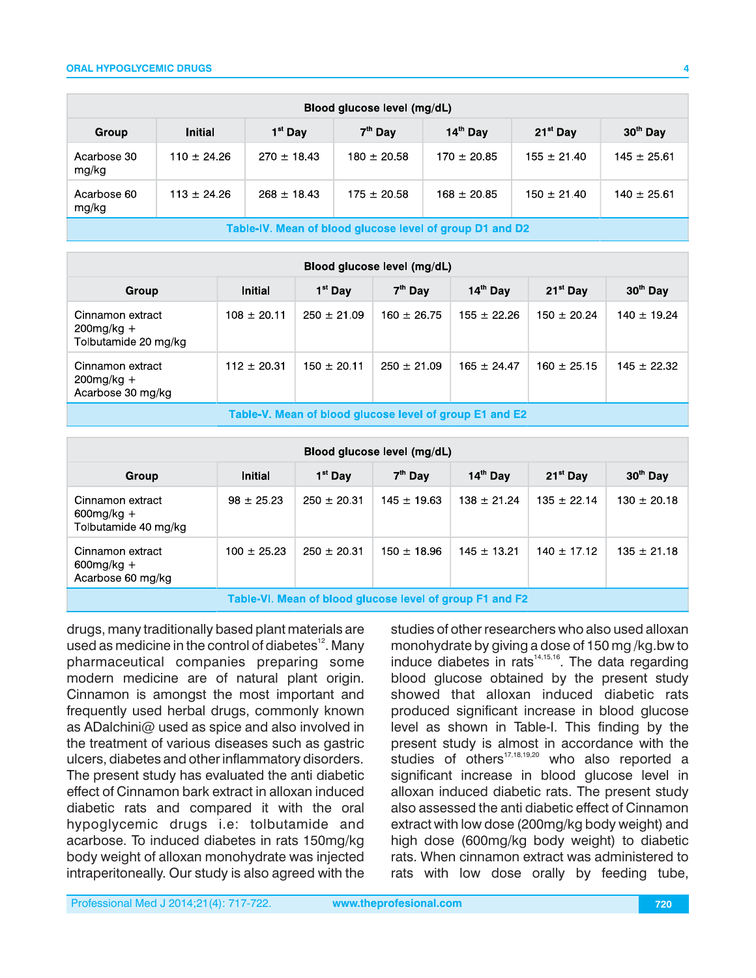#### **ORAL HYPOGLYCEMIC DRUGS**

| Blood glucose level (mg/dL)                                                                    |                 |                 |                 |                 |                 |                 |  |  |  |
|------------------------------------------------------------------------------------------------|-----------------|-----------------|-----------------|-----------------|-----------------|-----------------|--|--|--|
| $30th$ Day<br>$1st$ Day<br>$7th$ Day<br>$14th$ Day<br>$21^{st}$ Day<br><b>Initial</b><br>Group |                 |                 |                 |                 |                 |                 |  |  |  |
| Acarbose 30<br>mg/kg                                                                           | $110 \pm 24.26$ | $270 \pm 18.43$ | $180 \pm 20.58$ | $170 \pm 20.85$ | $155 \pm 21.40$ | $145 \pm 25.61$ |  |  |  |
| Acarbose 60<br>mg/kg                                                                           | $113 \pm 24.26$ | $268 \pm 18.43$ | $175 \pm 20.58$ | $168 \pm 20.85$ | $150 \pm 21.40$ | $140 \pm 25.61$ |  |  |  |
| Takis IV, Magni of klassi elijopool lougi of everyo D4 and D0.                                 |                 |                 |                 |                 |                 |                 |  |  |  |

Table-IV. Mean of blood glucose level of group D1 and D2

| Blood glucose level (mg/dL)                               |                 |                 |                     |                 |                 |                 |  |  |  |
|-----------------------------------------------------------|-----------------|-----------------|---------------------|-----------------|-----------------|-----------------|--|--|--|
| Group                                                     | <b>Initial</b>  | $1st$ Day       | 7 <sup>th</sup> Day | $14th$ Day      | $21^{st}$ Day   | $30th$ Day      |  |  |  |
| Cinnamon extract<br>$200$ mg/kg +<br>Tolbutamide 20 mg/kg | $108 \pm 20.11$ | $250 \pm 21.09$ | $160 \pm 26.75$     | $155 \pm 22.26$ | $150 \pm 20.24$ | $140 \pm 19.24$ |  |  |  |
| Cinnamon extract<br>$200$ mg/kg +<br>Acarbose 30 mg/kg    | $112 \pm 20.31$ | $150 \pm 20.11$ | $250 \pm 21.09$     | $165 \pm 24.47$ | $160 \pm 25.15$ | $145 \pm 22.32$ |  |  |  |
| Table-V. Mean of blood glucose level of group E1 and E2   |                 |                 |                     |                 |                 |                 |  |  |  |

| Blood glucose level (mg/dL)                               |                 |                     |                 |                 |                 |                      |  |  |
|-----------------------------------------------------------|-----------------|---------------------|-----------------|-----------------|-----------------|----------------------|--|--|
| Group                                                     | <b>Initial</b>  | 1 <sup>st</sup> Day | $7th$ Dav       | $14th$ Day      | $21^{st}$ Day   | 30 <sup>th</sup> Day |  |  |
| Cinnamon extract<br>$600$ mg/kg +<br>Tolbutamide 40 mg/kg | $98 \pm 25.23$  | $250 \pm 20.31$     | $145 \pm 19.63$ | $138 \pm 21.24$ | $135 \pm 2214$  | $130 \pm 20.18$      |  |  |
| Cinnamon extract<br>$600$ mg/kg +<br>Acarbose 60 mg/kg    | $100 \pm 25.23$ | $250 \pm 20.31$     | $150 \pm 18.96$ | $145 \pm 13.21$ | $140 \pm 17.12$ | $135 \pm 21.18$      |  |  |
| Table-VI. Mean of blood glucose level of group F1 and F2  |                 |                     |                 |                 |                 |                      |  |  |

drugs, many traditionally based plant materials are used as medicine in the control of diabetes $^{12}$ . Many pharmaceutical companies preparing some modern medicine are of natural plant origin. Cinnamon is amongst the most important and frequently used herbal drugs, commonly known as ADalchini@ used as spice and also involved in the treatment of various diseases such as gastric ulcers, diabetes and other inflammatory disorders. The present study has evaluated the anti diabetic effect of Cinnamon bark extract in alloxan induced diabetic rats and compared it with the oral hypoglycemic drugs i.e: tolbutamide and acarbose. To induced diabetes in rats 150mg/kg body weight of alloxan monohydrate was injected intraperitoneally. Our study is also agreed with the

studies of other researchers who also used alloxan monohydrate by giving a dose of 150 mg /kg.bw to induce diabetes in rats $14,15,16$ . The data regarding blood glucose obtained by the present study showed that alloxan induced diabetic rats produced significant increase in blood glucose level as shown in Table-I. This finding by the present study is almost in accordance with the studies of others<sup>17,18,19,20</sup> who also reported a significant increase in blood glucose level in alloxan induced diabetic rats. The present study also assessed the anti diabetic effect of Cinnamon extract with low dose (200mg/kg body weight) and high dose (600mg/kg body weight) to diabetic rats. When cinnamon extract was administered to rats with low dose orally by feeding tube,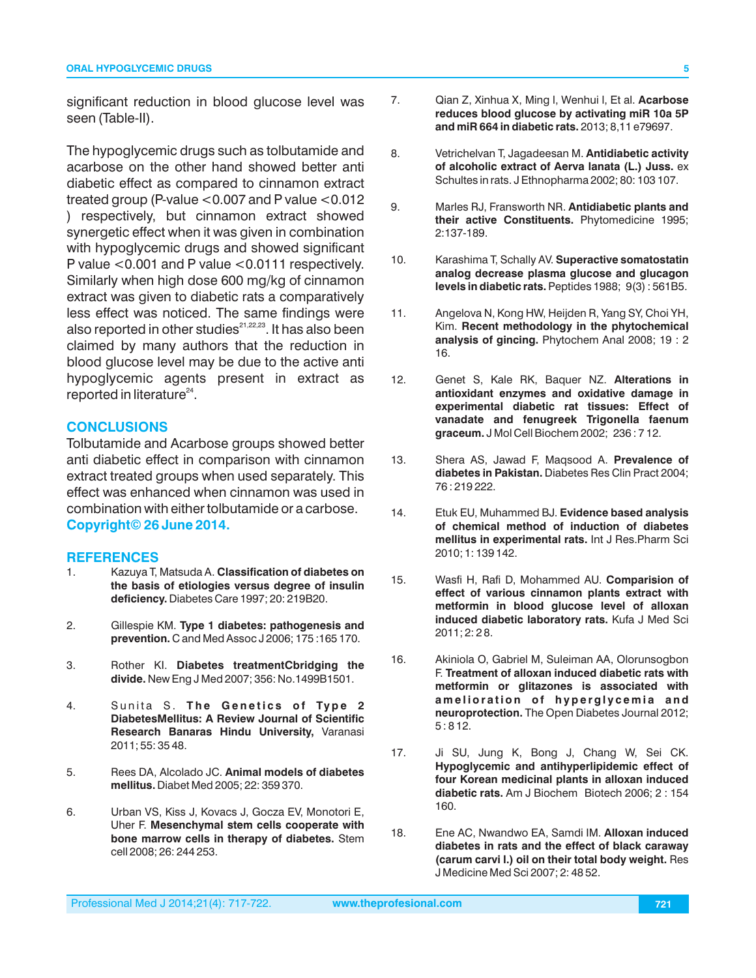significant reduction in blood glucose level was seen (Table-II).

The hypoglycemic drugs such as tolbutamide and acarbose on the other hand showed better anti diabetic effect as compared to cinnamon extract treated group (P-value  $<$  0.007 and P value  $<$  0.012 ) respectively, but cinnamon extract showed synergetic effect when it was given in combination with hypoglycemic drugs and showed significant P value <0.001 and P value <0.0111 respectively. Similarly when high dose 600 mg/kg of cinnamon extract was given to diabetic rats a comparatively less effect was noticed. The same findings were also reported in other studies $^{21,22,23}$ . It has also been claimed by many authors that the reduction in blood glucose level may be due to the active anti hypoglycemic agents present in extract as reported in literature $24$ .

## **CONCLUSIONS**

Tolbutamide and Acarbose groups showed better anti diabetic effect in comparison with cinnamon extract treated groups when used separately. This effect was enhanced when cinnamon was used in combination with either tolbutamide or a carbose. **Copyright© 26 June 2014.**

#### **REFERENCES**

- 1. Kazuya T, Matsuda A. **Classification of diabetes on the basis of etiologies versus degree of insulin deficiency.** Diabetes Care 1997; 20: 219B20.
- 2. Gillespie KM. **Type 1 diabetes: pathogenesis and prevention.** C and Med Assoc J 2006; 175 :165 170.
- 3. Rother KI. **Diabetes treatmentCbridging the divide.** New Eng J Med 2007; 356: No.1499B1501.
- 4. Sunita S. The Genetics of Type 2 **DiabetesMellitus: A Review Journal of Scientific Research Banaras Hindu University,** Varanasi 2011; 55: 35 48.
- 5. Rees DA, Alcolado JC. **Animal models of diabetes mellitus.** Diabet Med 2005; 22: 359 370.
- 6. Urban VS, Kiss J, Kovacs J, Gocza EV, Monotori E, Uher F. **Mesenchymal stem cells cooperate with bone marrow cells in therapy of diabetes.** Stem cell 2008; 26: 244 253.
- 7. Qian Z, Xinhua X, Ming l, Wenhui l, Et al. **Acarbose reduces blood glucose by activating miR 10a 5P and miR 664 in diabetic rats.** 2013; 8,11 e79697.
- 8. Vetrichelvan T, Jagadeesan M. **Antidiabetic activity of alcoholic extract of Aerva lanata (L.) Juss.** ex Schultes in rats. J Ethnopharma 2002; 80: 103 107.
- 9. Marles RJ, Fransworth NR. **Antidiabetic plants and their active Constituents.** Phytomedicine 1995; 2:137-189.
- 10. Karashima T, Schally AV. **Superactive somatostatin analog decrease plasma glucose and glucagon levels in diabetic rats.** Peptides 1988; 9(3) : 561B5.
- 11. Angelova N, Kong HW, Heijden R, Yang SY, Choi YH, Kim. **Recent methodology in the phytochemical analysis of gincing.** Phytochem Anal 2008; 19 : 2 16.
- 12. Genet S, Kale RK, Baquer NZ. **Alterations in antioxidant enzymes and oxidative damage in experimental diabetic rat tissues: Effect of vanadate and fenugreek Trigonella faenum graceum.** J Mol Cell Biochem 2002; 236 : 7 12.
- 13. Shera AS, Jawad F, Maqsood A. **Prevalence of diabetes in Pakistan.** Diabetes Res Clin Pract 2004; 76 : 219 222.
- 14. Etuk EU, Muhammed BJ. **Evidence based analysis of chemical method of induction of diabetes mellitus in experimental rats.** Int J Res.Pharm Sci 2010; 1: 139 142.
- 15. Wasfi H, Rafi D, Mohammed AU. **Comparision of effect of various cinnamon plants extract with metformin in blood glucose level of alloxan induced diabetic laboratory rats.** Kufa J Med Sci 2011; 2: 2 8.
- 16. Akiniola O, Gabriel M, Suleiman AA, Olorunsogbon F. **Treatment of alloxan induced diabetic rats with metformin or glitazones is associated with**  amelioration of hyperglycemia and **neuroprotection.** The Open Diabetes Journal 2012; 5 : 8 12.
- 17. Ji SU, Jung K, Bong J, Chang W, Sei CK. **Hypoglycemic and antihyperlipidemic effect of four Korean medicinal plants in alloxan induced diabetic rats.** Am J Biochem Biotech 2006; 2 : 154 160.
- 18. Ene AC, Nwandwo EA, Samdi IM. **Alloxan induced diabetes in rats and the effect of black caraway (carum carvi l.) oil on their total body weight.** Res J Medicine Med Sci 2007; 2: 48 52.